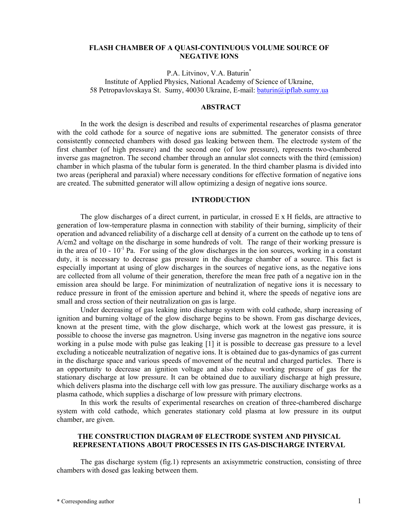#### **FLASH CHAMBER OF A QUASI-CONTINUOUS VOLUME SOURCE OF NEGATIVE IONS**

P.A. Litvinov, V.A. Baturin\* Institute of Applied Physics, National Academy of Science of Ukraine,

58 Petropavlovskaya St. Sumy, 40030 Ukraine, E-mail: [baturin@ipflab.sumy.ua](mailto:baturin@ipflab.sumy.ua) 

# **ABSTRACT**

In the work the design is described and results of experimental researches of plasma generator with the cold cathode for a source of negative ions are submitted. The generator consists of three consistently connected chambers with dosed gas leaking between them. The electrode system of the first chamber (of high pressure) and the second one (of low pressure), represents two-chambered inverse gas magnetron. The second chamber through an annular slot connects with the third (emission) chamber in which plasma of the tubular form is generated. In the third chamber plasma is divided into two areas (peripheral and paraxial) where necessary conditions for effective formation of negative ions are created. The submitted generator will allow optimizing a design of negative ions source.

### **INTRODUCTION**

The glow discharges of a direct current, in particular, in crossed  $E \times H$  fields, are attractive to generation of low-temperature plasma in connection with stability of their burning, simplicity of their operation and advanced reliability of a discharge cell at density of a current on the cathode up to tens of A/cm2 and voltage on the discharge in some hundreds of volt. The range of their working pressure is in the area of  $10 - 10^{-1}$  Pa. For using of the glow discharges in the ion sources, working in a constant duty, it is necessary to decrease gas pressure in the discharge chamber of a source. This fact is especially important at using of glow discharges in the sources of negative ions, as the negative ions are collected from all volume of their generation, therefore the mean free path of a negative ion in the emission area should be large. For minimization of neutralization of negative ions it is necessary to reduce pressure in front of the emission aperture and behind it, where the speeds of negative ions are small and cross section of their neutralization on gas is large.

Under decreasing of gas leaking into discharge system with cold cathode, sharp increasing of ignition and burning voltage of the glow discharge begins to be shown. From gas discharge devices, known at the present time, with the glow discharge, which work at the lowest gas pressure, it is possible to choose the inverse gas magnetron. Using inverse gas magnetron in the negative ions source working in a pulse mode with pulse gas leaking [1] it is possible to decrease gas pressure to a level excluding a noticeable neutralization of negative ions. It is obtained due to gas-dynamics of gas current in the discharge space and various speeds of movement of the neutral and charged particles. There is an opportunity to decrease an ignition voltage and also reduce working pressure of gas for the stationary discharge at low pressure. It can be obtained due to auxiliary discharge at high pressure, which delivers plasma into the discharge cell with low gas pressure. The auxiliary discharge works as a plasma cathode, which supplies a discharge of low pressure with primary electrons.

In this work the results of experimental researches on creation of three-chambered discharge system with cold cathode, which generates stationary cold plasma at low pressure in its output chamber, are given.

### **THE CONSTRUCTION DIAGRAM 0F ELECTRODE SYSTEM AND PHYSICAL REPRESENTATIONS ABOUT PROCESSES IN ITS GAS-DISCHARGE INTERVAL**

The gas discharge system (fig.1) represents an axisymmetric construction, consisting of three chambers with dosed gas leaking between them.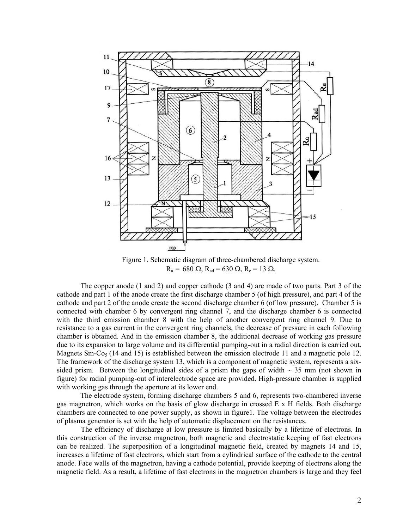

Figure 1. Schematic diagram of three-chambered discharge system.  $R_a = 680$  Ω,  $R_{ad} = 630$  Ω,  $R_e = 13$  Ω.

The copper anode (1 and 2) and copper cathode (3 and 4) are made of two parts. Part 3 of the cathode and part 1 of the anode create the first discharge chamber 5 (of high pressure), and part 4 of the cathode and part 2 of the anode create the second discharge chamber 6 (of low pressure). Chamber 5 is connected with chamber 6 by convergent ring channel 7, and the discharge chamber 6 is connected with the third emission chamber 8 with the help of another convergent ring channel 9. Due to resistance to a gas current in the convergent ring channels, the decrease of pressure in each following chamber is obtained. And in the emission chamber 8, the additional decrease of working gas pressure due to its expansion to large volume and its differential pumping-out in a radial direction is carried out. Magnets Sm-Co<sub>5</sub> (14 and 15) is established between the emission electrode 11 and a magnetic pole 12. The framework of the discharge system 13, which is a component of magnetic system, represents a sixsided prism. Between the longitudinal sides of a prism the gaps of width  $\sim$  35 mm (not shown in figure) for radial pumping-out of interelectrode space are provided. High-pressure chamber is supplied with working gas through the aperture at its lower end.

The electrode system, forming discharge chambers 5 and 6, represents two-chambered inverse gas magnetron, which works on the basis of glow discharge in crossed E х H fields. Both discharge chambers are connected to one power supply, as shown in figure1. The voltage between the electrodes of plasma generator is set with the help of automatic displacement on the resistances.

The efficiency of discharge at low pressure is limited basically by a lifetime of electrons. In this construction of the inverse magnetron, both magnetic and electrostatic keeping of fast electrons can be realized. The superposition of a longitudinal magnetic field, created by magnets 14 and 15, increases a lifetime of fast electrons, which start from a cylindrical surface of the cathode to the central anode. Face walls of the magnetron, having a cathode potential, provide keeping of electrons along the magnetic field. As a result, a lifetime of fast electrons in the magnetron chambers is large and they feel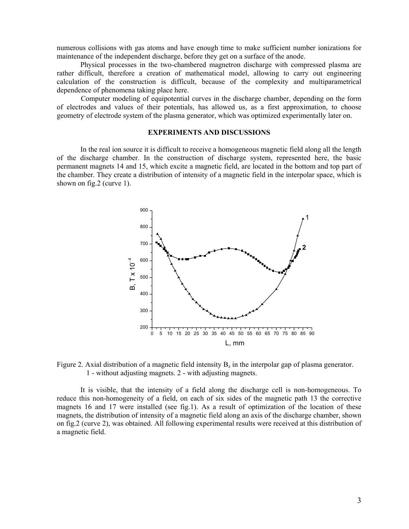numerous collisions with gas atoms and have enough time to make sufficient number ionizations for maintenance of the independent discharge, before they get on a surface of the anode.

Physical processes in the two-chambered magnetron discharge with compressed plasma are rather difficult, therefore a creation of mathematical model, allowing to carry out engineering calculation of the construction is difficult, because of the complexity and multiparametrical dependence of phenomena taking place here.

Computer modeling of equipotential curves in the discharge chamber, depending on the form of electrodes and values of their potentials, has allowed us, as a first approximation, to choose geometry of electrode system of the plasma generator, which was optimized experimentally later on.

# **EXPERIMENTS AND DISCUSSIONS**

In the real ion source it is difficult to receive a homogeneous magnetic field along all the length of the discharge chamber. In the construction of discharge system, represented here, the basic permanent magnets 14 and 15, which excite a magnetic field, are located in the bottom and top part of the chamber. They create a distribution of intensity of a magnetic field in the interpolar space, which is shown on fig.2 (curve 1).



Figure 2. Axial distribution of a magnetic field intensity  $B_7$  in the interpolar gap of plasma generator. 1 - without adjusting magnets. 2 - with adjusting magnets.

It is visible, that the intensity of a field along the discharge cell is non-homogeneous. To reduce this non-homogeneity of a field, on each of six sides of the magnetic path 13 the corrective magnets 16 and 17 were installed (see fig.1). As a result of optimization of the location of these magnets, the distribution of intensity of a magnetic field along an axis of the discharge chamber, shown on fig.2 (curve 2), was obtained. All following experimental results were received at this distribution of a magnetic field.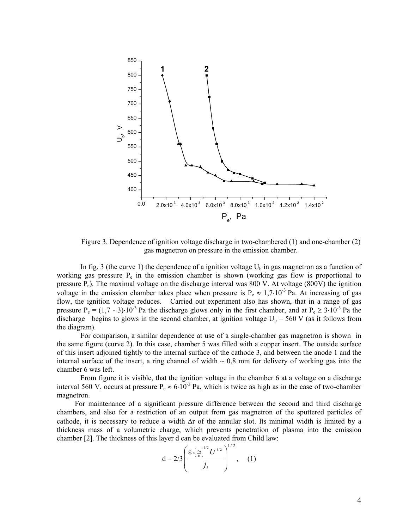

Figure 3. Dependence of ignition voltage discharge in two-chambered (1) and one-chamber (2) gas magnetron on pressure in the emission chamber.

In fig. 3 (the curve 1) the dependence of a ignition voltage  $U_b$  in gas magnetron as a function of working gas pressure  $P_e$  in the emission chamber is shown (working gas flow is proportional to pressure Pe). The maximal voltage on the discharge interval was 800 V. At voltage (800V) the ignition voltage in the emission chamber takes place when pressure is  $P_e \approx 1.7 \cdot 10^{-3}$  Pa. At increasing of gas flow, the ignition voltage reduces. Carried out experiment also has shown, that in a range of gas pressure P<sub>e</sub> = (1,7 - 3)⋅10<sup>-3</sup> Pa the discharge glows only in the first chamber, and at P<sub>e</sub> ≥ 3⋅10<sup>-3</sup> Pa the discharge begins to glows in the second chamber, at ignition voltage  $U_b = 560$  V (as it follows from the diagram).

For comparison, a similar dependence at use of a single-chamber gas magnetron is shown in the same figure (curve 2). In this case, chamber 5 was filled with a copper insert. The outside surface of this insert adjoined tightly to the internal surface of the cathode 3, and between the anode 1 and the internal surface of the insert, a ring channel of width  $\sim 0.8$  mm for delivery of working gas into the chamber 6 was left.

From figure it is visible, that the ignition voltage in the chamber 6 at a voltage on a discharge interval 560 V, occurs at pressure P<sub>e</sub>  $\approx 6.10^{-3}$  Pa, which is twice as high as in the case of two-chamber magnetron.

For maintenance of a significant pressure difference between the second and third discharge chambers, and also for a restriction of an output from gas magnetron of the sputtered particles of cathode, it is necessary to reduce a width ∆r of the annular slot. Its minimal width is limited by a thickness mass of a volumetric charge, which prevents penetration of plasma into the emission chamber [2]. The thickness of this layer d can be evaluated from Child law:

$$
d = 2/3 \left( \frac{\epsilon_0 \left( \frac{2q}{M} \right)^{1/2} U^{3/2}}{j_i} \right)^{1/2}, \quad (1)
$$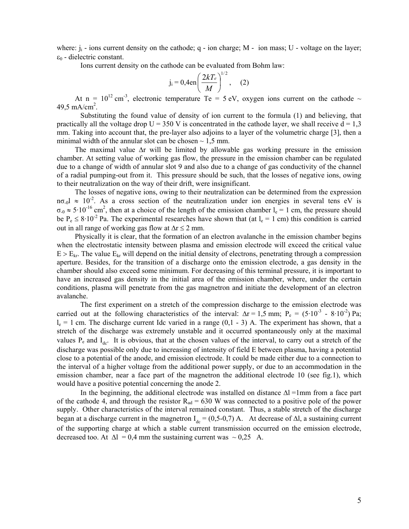where:  $j_i$  - ions current density on the cathode; q - ion charge; M - ion mass; U - voltage on the layer;  $\varepsilon_0$  - dielectric constant.

Ions current density on the cathode can be evaluated from Bohm law:

$$
j_i = 0,4en\left(\frac{2kT_e}{M}\right)^{1/2},
$$
 (2)

At n =  $10^{12}$  cm<sup>-3</sup>, electronic temperature Te = 5 eV, oxygen ions current on the cathode  $\sim$ 49,5 mA/cm<sup>2</sup>.

Substituting the found value of density of ion current to the formula (1) and believing, that practically all the voltage drop  $U = 350$  V is concentrated in the cathode layer, we shall receive  $d = 1.3$ mm. Taking into account that, the pre-layer also adjoins to a layer of the volumetric charge [3], then a minimal width of the annular slot can be chosen  $\sim 1.5$  mm.

The maximal value ∆r will be limited by allowable gas working pressure in the emission chamber. At setting value of working gas flow, the pressure in the emission chamber can be regulated due to a change of width of annular slot 9 and also due to a change of gas conductivity of the channel of a radial pumping-out from it. This pressure should be such, that the losses of negative ions, owing to their neutralization on the way of their drift, were insignificant.

The losses of negative ions, owing to their neutralization can be determined from the expression nσ<sub>-0</sub>l  $\approx$  10<sup>-2</sup>. As a cross section of the neutralization under ion energies in several tens eV is  $\sigma_{0} \approx 5.10^{-16}$  cm<sup>2</sup>, then at a choice of the length of the emission chamber l<sub>e</sub> = 1 cm, the pressure should be  $P_e \le 8.10^{-2}$  Pa. The experimental researches have shown that (at  $l_e = 1$  cm) this condition is carried out in all range of working gas flow at  $\Delta r \leq 2$  mm.

Physically it is clear, that the formation of an electron avalanche in the emission chamber begins when the electrostatic intensity between plasma and emission electrode will exceed the critical value  $E > E_{kr}$ . The value  $E_{kr}$  will depend on the initial density of electrons, penetrating through a compression aperture. Besides, for the transition of a discharge onto the emission electrode, a gas density in the chamber should also exceed some minimum. For decreasing of this terminal pressure, it is important to have an increased gas density in the initial area of the emission chamber, where, under the certain conditions, plasma will penetrate from the gas magnetron and initiate the development of an electron avalanche.

The first experiment on a stretch of the compression discharge to the emission electrode was carried out at the following characteristics of the interval:  $\Delta r = 1.5$  mm; P<sub>e</sub> = (5·10<sup>-3</sup> - 8·10<sup>-2</sup>) Pa;  $l_e = 1$  cm. The discharge current Idc varied in a range (0,1 - 3) A. The experiment has shown, that a stretch of the discharge was extremely unstable and it occurred spontaneously only at the maximal values  $P_e$  and  $I_{dc}$ . It is obvious, that at the chosen values of the interval, to carry out a stretch of the discharge was possible only due to increasing of intensity of field E between plasma, having a potential close to a potential of the anode, and emission electrode. It could be made either due to a connection to the interval of a higher voltage from the additional power supply, or due to an accommodation in the emission chamber, near a face part of the magnetron the additional electrode 10 (see fig.1), which would have a positive potential concerning the anode 2.

In the beginning, the additional electrode was installed on distance  $\Delta l = 1$ mm from a face part of the cathode 4, and through the resistor  $R_{ad} = 630$  W was connected to a positive pole of the power supply. Other characteristics of the interval remained constant. Thus, a stable stretch of the discharge began at a discharge current in the magnetron  $I_{dc} = (0.5-0.7)$  A. At decrease of Δl, a sustaining current of the supporting charge at which a stable current transmission occurred on the emission electrode, decreased too. At  $\Delta l = 0.4$  mm the sustaining current was ~ 0,25 A.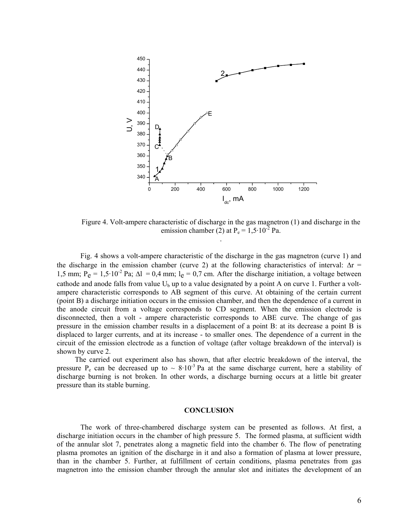

Figure 4. Volt-ampere characteristic of discharge in the gas magnetron (1) and discharge in the emission chamber (2) at  $P_e = 1.5 \cdot 10^{27}$  Pa. .

Fig. 4 shows a volt-ampere characteristic of the discharge in the gas magnetron (curve 1) and the discharge in the emission chamber (curve 2) at the following characteristics of interval:  $\Delta r =$ 1,5 mm;  $P_e = 1.5 \cdot 10^{-2}$  Pa;  $\Delta l = 0.4$  mm;  $l_e = 0.7$  cm. After the discharge initiation, a voltage between cathode and anode falls from value  $U_b$  up to a value designated by a point A on curve 1. Further a voltampere characteristic corresponds to АВ segment of this curve. At obtaining of the certain current (point В) a discharge initiation occurs in the emission chamber, and then the dependence of a current in the anode circuit from a voltage corresponds to СD segment. When the emission electrode is disconnected, then a volt - ampere characteristic corresponds to АВЕ curve. The change of gas pressure in the emission chamber results in a displacement of a point В: at its decrease a point В is displaced to larger currents, and at its increase - to smaller ones. The dependence of a current in the circuit of the emission electrode as a function of voltage (after voltage breakdown of the interval) is shown by curve 2.

The carried out experiment also has shown, that after electric breakdown of the interval, the pressure P<sub>e</sub> can be decreased up to  $\sim 8.10^{-3}$  Pa at the same discharge current, here a stability of discharge burning is not broken. In other words, a discharge burning occurs at a little bit greater pressure than its stable burning.

#### **CONCLUSION**

The work of three-chambered discharge system can be presented as follows. At first, a discharge initiation occurs in the chamber of high pressure 5. The formed plasma, at sufficient width of the annular slot 7, penetrates along a magnetic field into the chamber 6. The flow of penetrating plasma promotes an ignition of the discharge in it and also a formation of plasma at lower pressure, than in the chamber 5. Further, at fulfillment of certain conditions, plasma penetrates from gas magnetron into the emission chamber through the annular slot and initiates the development of an